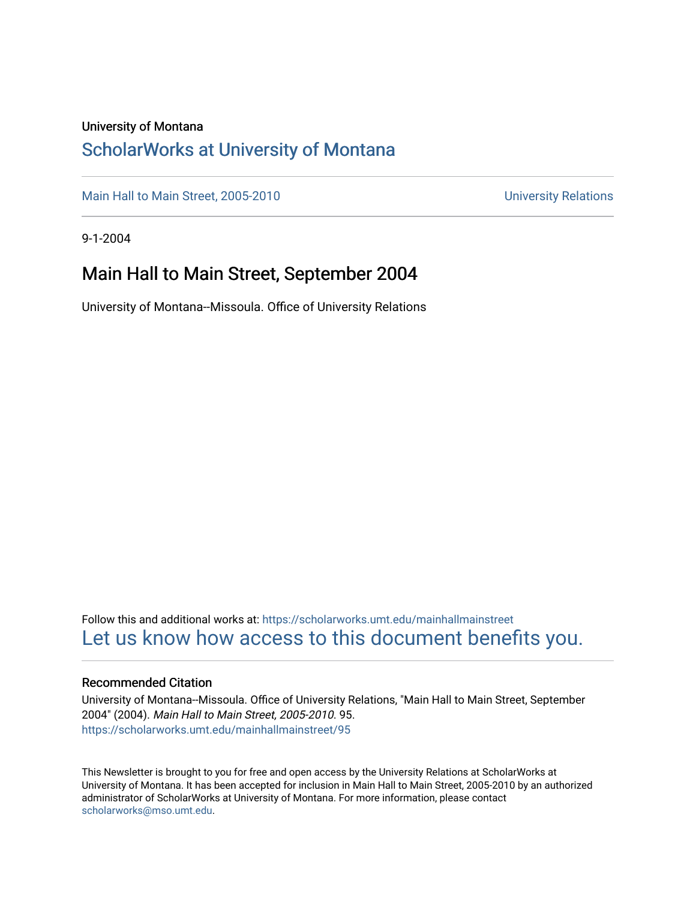#### University of Montana

## [ScholarWorks at University of Montana](https://scholarworks.umt.edu/)

[Main Hall to Main Street, 2005-2010](https://scholarworks.umt.edu/mainhallmainstreet) Main Hall to Main Street, 2005-2010

9-1-2004

## Main Hall to Main Street, September 2004

University of Montana--Missoula. Office of University Relations

Follow this and additional works at: [https://scholarworks.umt.edu/mainhallmainstreet](https://scholarworks.umt.edu/mainhallmainstreet?utm_source=scholarworks.umt.edu%2Fmainhallmainstreet%2F95&utm_medium=PDF&utm_campaign=PDFCoverPages) [Let us know how access to this document benefits you.](https://goo.gl/forms/s2rGfXOLzz71qgsB2) 

#### Recommended Citation

University of Montana--Missoula. Office of University Relations, "Main Hall to Main Street, September 2004" (2004). Main Hall to Main Street, 2005-2010. 95. [https://scholarworks.umt.edu/mainhallmainstreet/95](https://scholarworks.umt.edu/mainhallmainstreet/95?utm_source=scholarworks.umt.edu%2Fmainhallmainstreet%2F95&utm_medium=PDF&utm_campaign=PDFCoverPages) 

This Newsletter is brought to you for free and open access by the University Relations at ScholarWorks at University of Montana. It has been accepted for inclusion in Main Hall to Main Street, 2005-2010 by an authorized administrator of ScholarWorks at University of Montana. For more information, please contact [scholarworks@mso.umt.edu.](mailto:scholarworks@mso.umt.edu)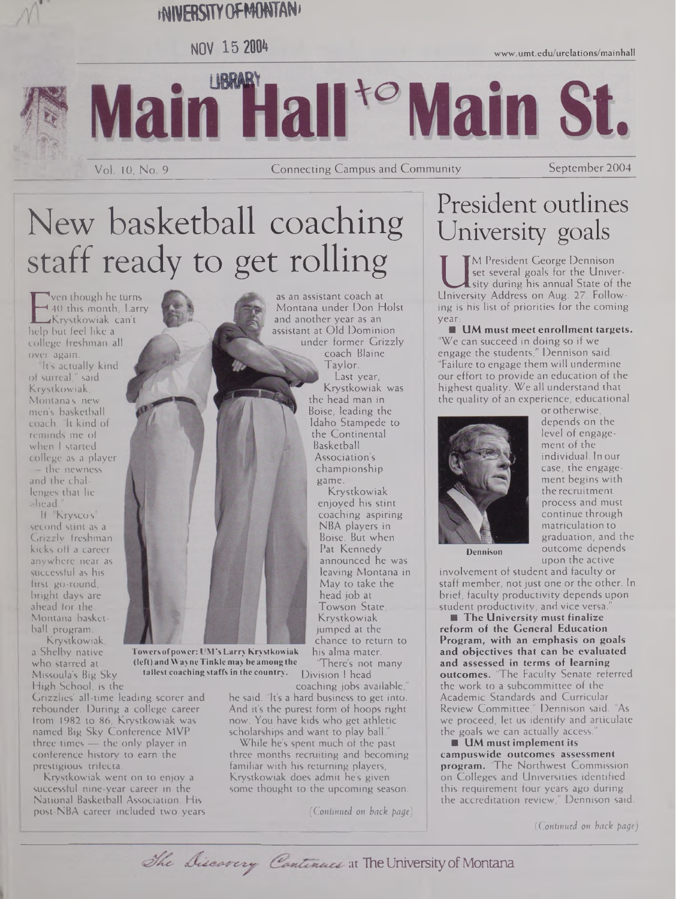# **•WWERSSTYOFMONTAN\***

**NOV <sup>15</sup> »**

LIBRARY Main Hall<sup>to</sup> Main St.

Vol. 10, No. 9 Connecting Campus and Community September 2004

# New basketball coaching staff ready to get rolling

**Towersofpower: UM's Larry Krystkowiak (left) andWayneTinkle may be among the tallest coaching staffsin the country.**

E 40 this month, Lai<br>Krystkowiak can't<br>help but feel like a ven though he turns 40 this month, Larry Krystkowiak can't college freshman all over again.

It's actually kind of surreal," said Krystkowiak, Montana's new men's basketball coach. "It kind of reminds me of when <sup>I</sup> started college as a player — the newness and the challenges that lie ahead."

If "Krysco's" second stint as a Grizzly freshman kicks off a career anywhere near as successful as his first go-round, bright days are ahead for the Montana basketball program.

Krystkowiak, a Shelby native who starred at Missoula's Big Sky High School, is the

Grizzlies' all-time leading scorer and rebounder. During a college career from 1982 to 86, Krystkowiak was named Big Sky Conference MVP three times — the only player in conference history to earn the prestigious trifecta.

Krystkowiak went on to enjoy a successful nine-year career in the National Basketball Association. His post-NBA career included two years

as an assistant coach at Montana under Don Holst and another year as an assistant at Old Dominion under former Grizzly coach Blaine Taylor. Last year, Krystkowiak was the head man in Boise, leading the Idaho Stampede to the Continental Basketball Association's championship game.

Krystkowiak enjoyed his stint coaching aspiring NBA players in Boise. But when Pat Kennedy announced he was leaving Montana in May to take the head job at Towson State, Krystkowiak jumped at the chance to return to his alma mater.

"There's not many Division <sup>I</sup> head

coaching jobs available, he said. "It's a hard business to get into. And it's the purest form of hoops right now. You have kids who get athletic scholarships and want to play ball."

While he's spent much of the past three months recruiting and becoming familiar with his returning players, Krystkowiak does admit he's given some thought to the upcoming season.

*(Continued on hack page)*

# President outlines University goals

[www.umt.edu/ure1ations/mainhall](http://www.umt.edu/ure1ations/mainhall)

I set several goals for the University<br>University Address on Aug. 27. Follow-<br>University Address on Aug. 27. Follow-M President George Dennison set several goals for the University during his annual State of the ing is his list of priorities for the coming year:

**UM must meet enrollment targets.** "We can succeed in doing so if we engage the students," Dennison said. "Failure to engage them will undermine our effort to provide an education of the highest quality. We all understand that the quality of an experience, educational or otherwise,



depends on the level of engagement of the individual. In our case, the engagement begins with the recruitment process and must continue through matriculation to graduation, and the outcome depends upon the active

**Dennison**

involvement of student and faculty or staff member, not just one or the other. In brief, faculty productivity depends upon student productivity, and vice versa.

**The University must finalize reform of the General Education Program, with an emphasis on goals and objectives that can be evaluated and assessed in terms of learning outcomes.** 'The Faculty Senate referred the work to a subcommittee of the Academic Standards and Curricular Review Committee," Dennison said. "As we proceed, let us identify and articulate the goals we can actually access.

**UM must implement its campuswide outcomes assessment program.** 'The Northwest Commission on Colleges and Universities identified this requirement four years ago during the accreditation review," Dennison said.

*(Continued on back page)*

The Discavery Continues at The University of Montana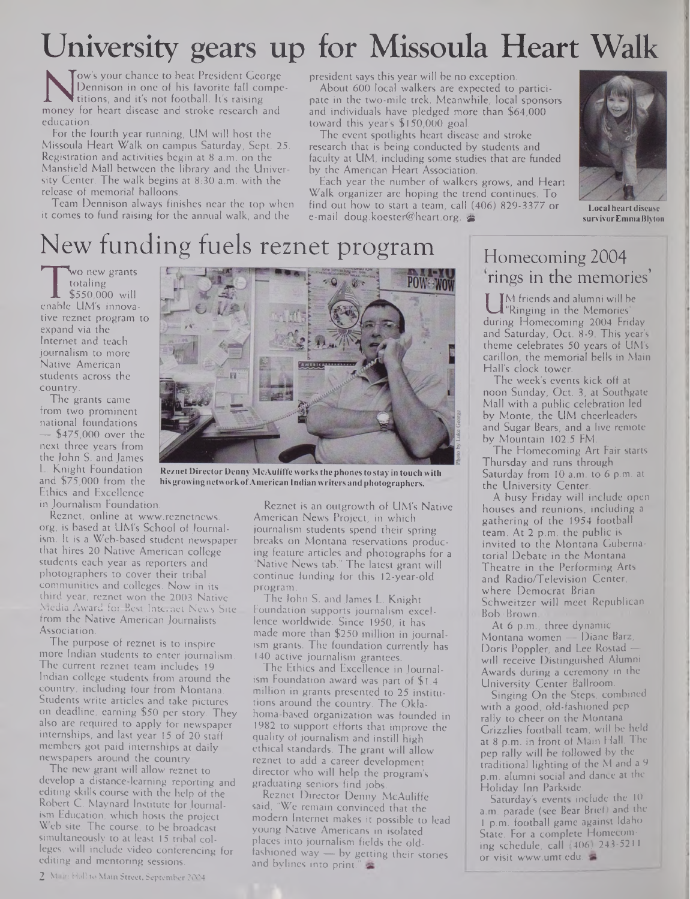# University gears up for Missoula Heart Walk

Na Dennison in one of his favorite fall compe-<br>titions, and it's not football. It's raising<br>money for heart disease and stroke research and<br>education Tow's your chance to beat President George Dennison in one of his favorite fall competitions, and it's not football. It's raising education.

For the fourth year running, UM will host the Missoula Heart Walk on campus Saturday, Sept. 25. Registration and activities begin at 8 a.m. on the Mansfield Mall between the library and the University Center. The walk begins at 8:30 a.m. with the release of memorial balloons.

Team Dennison always finishes near the top when it comes to fund raising for the annual walk, and the

president says this year will be no exception. About 600 local walkers are expected to partici-

pate in the two-mile trek. Meanwhile, local sponsors and individuals have pledged more than \$64,000 toward this year's \$150,000 goal.

The event spotlights heart disease and stroke research that is being conducted by students and faculty at UM, including some studies that are funded by the American Heart Association.

Each year the number of walkers grows, and Heart Walk organizer are hoping the trend continues. To find out how to start a team, call (406) 829-3377 or e-mail [doug.koester@heart.org](mailto:doug.koester@heart.org). &



**Local heart disease survivorEmmaBlyton**

# New funding fuels reznet program

wo new grants<br>totaling<br>\$550,000 will<br>enable UM's innovawo new grants totaling \$550,000 will tive reznet program to expand via the Internet and teach journalism to more Native American students across the country.

The grants came from two prominent national foundations — \$475,000 over the next three years from the John S. and James L. Knight Foundation and \$75,000 from the Ethics and Excellence in Journalism Foundation.

Reznet, online at [www.reznetnews](http://www.reznetnews). org, is based at UM's School of Journalism. It is a Web-based student newspaper that hires 20 Native American college students each year as reporters and photographers to cover their tribal communities and colleges. Now in its third year, reznet won the 2003 Native Media Award for Best Internet News Site from the Native American Journalists Association.

The purpose of reznet is to inspire more Indian students to enter journalism. The current reznet team includes 19 Indian college students from around the country, including four from Montana. Students write articles and take pictures on deadline, earning \$50 per story. They also are required to apply for newspaper internships, and last year 15 of 20 staff members got paid internships at daily newspapers around the country

The new grant will allow reznet to develop a distance-learning reporting and editing skills course with the help of the Robert C. Maynard Institute for Journalism Education, which hosts the project Web site. The course, to be broadcast simultaneously to at least 15 tribal colleges, will include video conferencing for editing and mentoring sessions.



**ReznetDirector DennyMcAuliffeworksthephonesto stay in touch with hisgrowing network ofAmerican Indian writers and photographers.**

Reznet is an outgrowth of UM's Native American News Project, in which journalism students spend their spring breaks on Montana reservations producing feature articles and photographs for a "Native News tab." The latest grant will continue funding for this 12-year-old program.

The John S. and James L. Knight Foundation supports journalism excellence worldwide. Since 1950, it has made more than \$250 million in journalism grants. The foundation currently has 140 active journalism grantees.

The Ethics and Excellence in Journalism Foundation award was part of \$1.4 million in grants presented to 25 institutions around the country. The Oklahoma-based organization was founded in 1982 to support efforts that improve the quality of journalism and instill high ethical standards. The grant will allow reznet to add a career development director who will help the program's graduating seniors find jobs.

Reznet Director Denny McAuliffe said, "We remain convinced that the modern Internet makes it possible to lead young Native Americans in isolated places into journalism fields the oldfashioned way — by getting their stories and bylines into print."

## Homecoming 2004 rings in the memories'

during Homecoming 2004 Friday<br>and Saturday, Oct. 8-9. This year's M friends and alumni will be "Ringing in the Memories" and Saturday, Oct. 8-9. This year's theme celebrates 50 years of UM's carillon, the memorial bells in Main Hall's clock tower.

The week's events kick off at noon Sunday, Oct. 3, at Southgate Mall with a public celebration led by Monte, the UM cheerleaders and Sugar Bears, and a live remote by Mountain 102.5 FM.

The Homecoming Art Fair starts Thursday and runs through Saturday from 10 a.m. to 6 p.m. at the University Center.

A busy Friday will include open houses and reunions, including a gathering of the 1954 football team. At 2 p.m. the public is invited to the Montana Gubernatorial Debate in the Montana Theatre in the Performing Arts and Radio/Television Center, where Democrat Brian Schweitzer will meet Republican Bob Brown:

At 6 p.m., three dynamic Montana women — Diane Barz, Doris Poppler, and Lee Rostad will receive Distinguished Alumni Awards during a ceremony in the University Center Ballroom.

Singing On the Steps, combined with a good, old-fashioned pep rally to cheer on the Montana Grizzlies football team, will be held at 8 p.m. in front of Main Hall. The pep rally will be followed by the traditional lighting of the M and a 9 p.m. alumni social and dance at the Holiday Inn Parkside.

Saturday's events include the 10 a.m. parade (see Bear Brief) and the <sup>1</sup> p.m. football game against Idaho State. For a complete Homecoming schedule, call (406) 243-5211 or visit [www.umt.edu](http://www.umt.edu).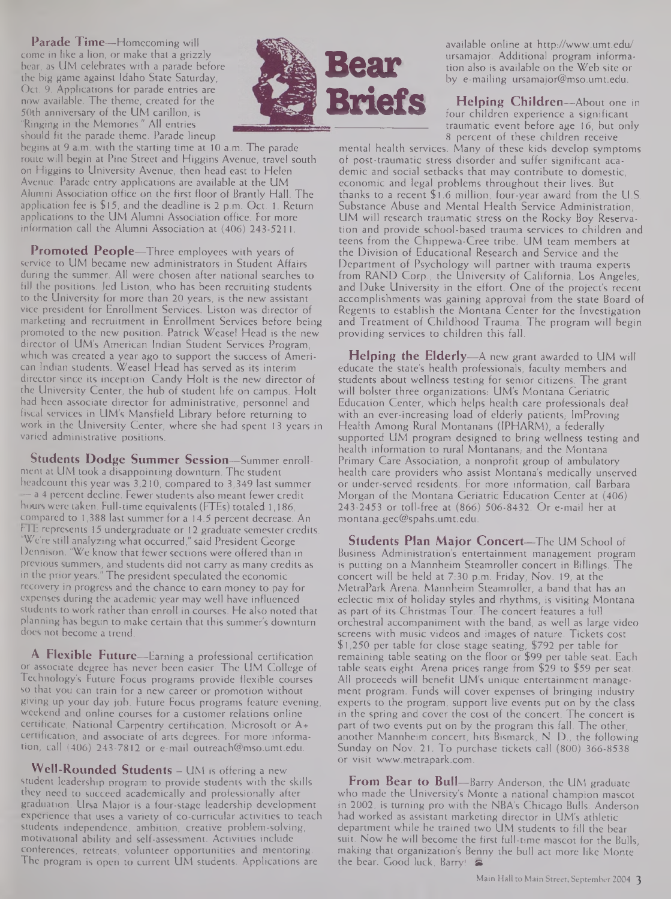**Parade Time—**Homecoming will come in like a lion, or make that a grizzly bear, as UM celebrates with a parade before the big game against Idaho State Saturday, Oct. 9. Applications for parade entries are now available. The theme, created for the 50th anniversary of the UM carillon, is "Ringing in the Memories." All entries should fit the parade theme. Parade lineup



begins at 9 a.m. with the starting time at 10 a.m. The parade route will begin at Pine Street and Higgins Avenue, travel south on Higgins to University Avenue, then head east to Helen Avenue. Parade entry applications are available at the UM Alumni Association office on the first floor of Brantly Hall. The application fee is \$15, and the deadline is 2 p.m. Oct. 1. Return applications to the UM Alumni Association office. For more information call the Alumni Association at (406) 243-5211.

**Promoted People—**Three employees with years of service to UM became new administrators in Student Affairs during the summer. All were chosen after national searches to fill the positions. Jed Liston, who has been recruiting students to the University for more than 20 years, is the new assistant vice president for Enrollment Services. Liston was director of marketing and recruitment in Enrollment Services before being promoted to the new position. Patrick Weasel Head is the new director of UM's American Indian Student Services Program, which was created a year ago to support the success of American Indian students. Weasel Head has served as its interim director since its inception. Candy Holt is the new director of the University Center, the hub of student life on campus. Holt had been associate director for administrative, personnel and fiscal services in UM's Mansfield Library before returning to work in the University Center, where she had spent 13 years in varied administrative positions.

**Students Dodge Summer Session—**Summer enrollment at UM took a disappointing downturn. The student headcount this year was 3,210, compared to 3,349 last summer — a 4 percent decline. Fewer students also meant fewer credit hours were taken. Full-time equivalents (FTEs) totaled 1,186, compared to 1,388 last summer for a 14.5 percent decrease. An **r <sup>I</sup> <sup>E</sup>** represents 15 undergraduate or 12 graduate semester credits. "We're still analyzing what occurred," said President George Dennison. "We know that fewer sections were offered than in previous summers, and students did not carry as many credits as in the prior years." The president speculated the economic recovery in progress and the chance to earn money to pay for expenses during the academic year may well have influenced students to work rather than enroll in courses. He also noted that planning has begun to make certain that this summer's downturn does not become a trend.

**A Flexible Future—**Earning a professional certification or associate degree has never been easier. The UM College of Technology's Future Focus programs provide flexible courses so that you can train for a new career or promotion without giving up your day job. Future Focus programs feature evening, weekend and online courses for a customer relations online certificate, National Carpentry certification, Microsoft or A+ certification, and associate of arts degrees. For more information, call (406) 243-7812 or e-mail [outreach@mso.umt.edu](mailto:outreach@mso.umt.edu).

**Well-Rounded Students —** UM is offering a new student leadership program to provide students with the skills they need to succeed academically and professionally after graduation. Ursa Major is a four-stage leadership development experience that uses a variety of co-curricular activities to teach students independence, ambition, creative problem-solving, motivational ability and self-assessment. Activities include conferences, retreats, volunteer opportunities and mentoring. The program is open to current UM students. Applications are

available online at <http://www.umt.edu/> ursamajor. Additional program information also is available on the Web site or by e-mailing [ursamajor@mso.umt.edu](mailto:ursamajor@mso.umt.edu).

**Helping Children—**About one in four children experience a significant traumatic event before age 16, but only 8 percent of these children receive

mental health services. Many of these kids develop symptoms of post-traumatic stress disorder and suffer significant academic and social setbacks that may contribute to domestic, economic and legal problems throughout their lives. But thanks to a recent \$1.6 million, four-year award from the U.S. Substance Abuse and Mental Health Service Administration, UM will research traumatic stress on the Rocky Boy Reservation and provide school-based trauma services to children and teens from the Chippewa-Cree tribe. UM team members at the Division of Educational Research and Service and the Department of Psychology will partner with trauma experts from RAND Corp., the University of California, Los Angeles, and Duke University in the effort. One of the project's recent accomplishments was gaining approval from the state Board of Regents to establish the Montana Center for the Investigation and Treatment of Childhood Trauma. The program will begin providing services to children this fall.

**Helping the Elderly—**A new grant awarded to UM will educate the state's health professionals, faculty members and students about wellness testing for senior citizens. The grant will bolster three organizations: UM's Montana Geriatric Education Center, which helps health care professionals deal with an ever-increasing load of elderly patients, ImProving Health Among Rural Montanans (IPHARM), a federally supported UM program designed to bring wellness testing and health information to rural Montanans, and the Montana Primary Care Association, a nonprofit group of ambulatory health care providers who assist Montana's medically unserved or under-served residents. For more information, call Barbara Morgan of the Montana Geriatric Education Center at (406) 243-2453 or toll-free at (866) 506-8432. Or e-mail her at [montana.gec@spahs.umt.edu](mailto:montana.gec@spahs.umt.edu).

**Students Plan Major Concert—**The UM School of Business Administration's entertainment management program is putting on a Mannheim Steamroller concert in Billings. The concert will be held at 7:30 p.m. Friday, Nov. 19, at the MetraPark Arena. Mannheim Steamroller, a band that has an eclectic mix of holiday styles and rhythms, is visiting Montana as part of its Christmas Tour. The concert features a full orchestral accompaniment with the band, as well as large video screens with music videos and images of nature. Tickets cost \$1,250 per table for close stage seating, \$792 per table for remaining table seating on the floor or \$99 per table seat. Each table seats eight. Arena prices range from \$29 to \$59 per seat. All proceeds will benefit UM's unique entertainment management program. Funds will cover expenses of bringing industry experts to the program, support live events put on by the class in the spring and cover the cost of the concert. The concert is part of two events put on by the program this fall. The other, another Mannheim concert, hits Bismarck, N. D., the following Sunday on Nov. 21. To purchase tickets call (800) 366-8538 or visit [www.metrapark.com](http://www.metrapark.com).

**From Bear to Bull—**Barry Anderson, the UM graduate who made the University's Monte a national champion mascot in 2002, is turning pro with the NBA's Chicago Bulls. Anderson had worked as assistant marketing director in UM's athletic department while he trained two UM students to fill the bear suit. Now he will become the first full-time mascot for the Bulls, making that organization's Benny the bull act more like Monte the bear. Good luck, Barry! **die**